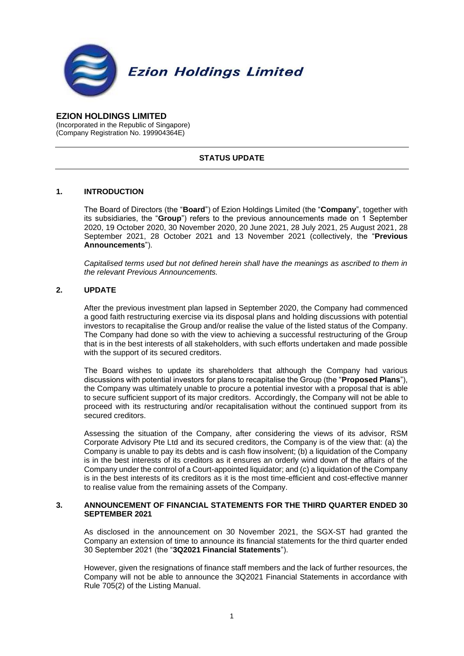

**EZION HOLDINGS LIMITED** (Incorporated in the Republic of Singapore) (Company Registration No. 199904364E)

### **STATUS UPDATE**

### **1. INTRODUCTION**

The Board of Directors (the "**Board**") of Ezion Holdings Limited (the "**Company**", together with its subsidiaries, the "**Group**") refers to the previous announcements made on 1 September 2020, 19 October 2020, 30 November 2020, 20 June 2021, 28 July 2021, 25 August 2021, 28 September 2021, 28 October 2021 and 13 November 2021 (collectively, the "**Previous Announcements**").

*Capitalised terms used but not defined herein shall have the meanings as ascribed to them in the relevant Previous Announcements.*

### **2. UPDATE**

After the previous investment plan lapsed in September 2020, the Company had commenced a good faith restructuring exercise via its disposal plans and holding discussions with potential investors to recapitalise the Group and/or realise the value of the listed status of the Company. The Company had done so with the view to achieving a successful restructuring of the Group that is in the best interests of all stakeholders, with such efforts undertaken and made possible with the support of its secured creditors.

The Board wishes to update its shareholders that although the Company had various discussions with potential investors for plans to recapitalise the Group (the "**Proposed Plans**"), the Company was ultimately unable to procure a potential investor with a proposal that is able to secure sufficient support of its major creditors. Accordingly, the Company will not be able to proceed with its restructuring and/or recapitalisation without the continued support from its secured creditors.

Assessing the situation of the Company, after considering the views of its advisor, RSM Corporate Advisory Pte Ltd and its secured creditors, the Company is of the view that: (a) the Company is unable to pay its debts and is cash flow insolvent; (b) a liquidation of the Company is in the best interests of its creditors as it ensures an orderly wind down of the affairs of the Company under the control of a Court-appointed liquidator; and (c) a liquidation of the Company is in the best interests of its creditors as it is the most time-efficient and cost-effective manner to realise value from the remaining assets of the Company.

#### **3. ANNOUNCEMENT OF FINANCIAL STATEMENTS FOR THE THIRD QUARTER ENDED 30 SEPTEMBER 2021**

As disclosed in the announcement on 30 November 2021, the SGX-ST had granted the Company an extension of time to announce its financial statements for the third quarter ended 30 September 2021 (the "**3Q2021 Financial Statements**").

However, given the resignations of finance staff members and the lack of further resources, the Company will not be able to announce the 3Q2021 Financial Statements in accordance with Rule 705(2) of the Listing Manual.